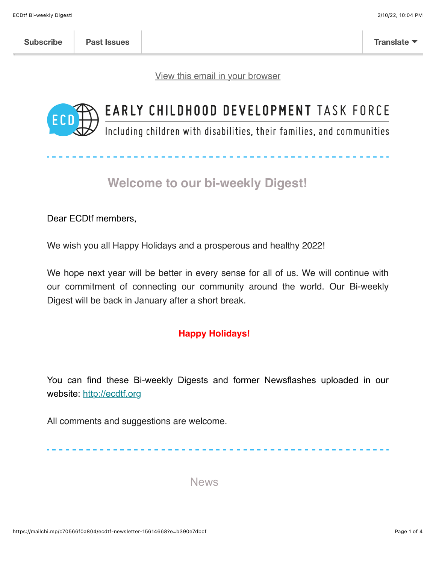[View this email in your browser](https://mailchi.mp/c70566f0a804/ecdtf-newsletter-15614668?e=b390e7dbcf)



# EARLY CHILDHOOD DEVELOPMENT TASK FORCE

Including children with disabilities, their families, and communities

## **Welcome to our bi-weekly Digest!**

Dear ECDtf members,

We wish you all Happy Holidays and a prosperous and healthy 2022!

We hope next year will be better in every sense for all of us. We will continue with our commitment of connecting our community around the world. Our Bi-weekly Digest will be back in January after a short break.

#### **Happy Holidays!**

You can find these Bi-weekly Digests and former Newsflashes uploaded in our website: [http://ecdtf.org](http://ecdtf.org/)

All comments and suggestions are welcome.

News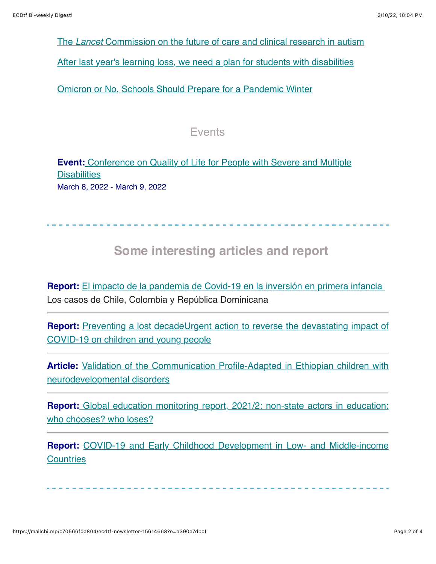The *Lancet* [Commission on the future of care and clinical research in autism](https://www.sciencedirect.com/science/article/pii/S0140673621015415?dgcid=coauthor)

[After last year's learning loss, we need a plan for students with disabilities](https://thehill.com/opinion/education/583778-after-last-years-learning-loss-we-need-a-plan-for-students-with?rl=1)

[Omicron or No, Schools Should Prepare for a Pandemic Winter](https://www.edweek.org/leadership/omicron-or-no-schools-should-prepare-for-a-pandemic-winter/2021/12)

#### Events

**Event:** [Conference on Quality of Life for People with Severe and Multiple](https://www.perkinsglobalcommunity.org/event/conference-on-quality-of-life-for-people-with-severe-and-multiple-disabilities/) **Disabilities** March 8, 2022 - March 9, 2022

## **Some interesting articles and report**

**Report:** [El impacto de la pandemia de Covid-19 en la inversión en primera infancia](https://www.thedialogue.org/wp-content/uploads/2021/12/El-impacto-de-la-pandemia-de-Covid-19-en-la-inversion-en-primera-infancia-Los-casos-de-Chile-Colombia-y-Republica-Dominicana.pdf)  Los casos de Chile, Colombia y República Dominicana

**Report:** [Preventing a lost decadeUrgent action to reverse the devastating impact of](https://www.unicef.org/reports/unicef-75-preventing-a-lost-decade) COVID-19 on children and young people

Article: [Validation of the Communication Profile-Adapted in Ethiopian children with](https://www.cambridge.org/core/services/aop-cambridge-core/content/view/3EA63BF68D2D9591C8017D8A0432D0D3/S2054425121000443a.pdf/validation_of_the_communication_profileadapted_in_ethiopian_children_with_neurodevelopmental_disorders.pdf) neurodevelopmental disorders

**Report:** [Global education monitoring report, 2021/2: non-state actors in education:](https://unesdoc.unesco.org/ark:/48223/pf0000379875) who chooses? who loses?

**Report:** [COVID-19 and Early Childhood Development in Low- and Middle-income](https://ecdan.org/assets/ecdan_covid-19-ecd-research-roundup_dec2021.pdf) **Countries**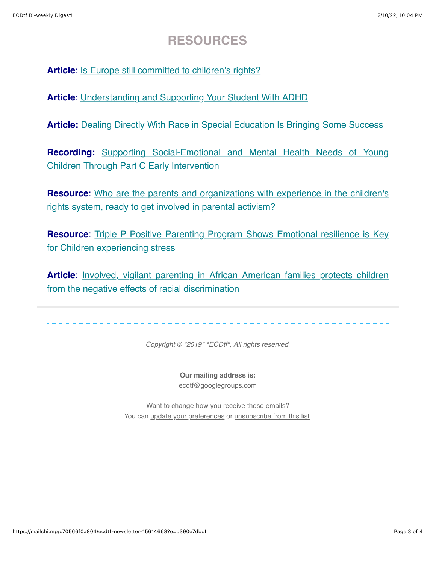### **RESOURCES**

**Article**: [Is Europe still committed to children's rights?](https://www.euractiv.com/section/global-europe/opinion/is-europe-still-committed-to-childrens-rights/?fbclid=IwAR3zIhD5KYq3QzCvoJxSDqqDXoiBWJKg2sVjq23cBN3cXNwl0wwp80rCHNw)

**Article**: [Understanding and Supporting Your Student With ADHD](https://www.edutopia.org/video/understanding-and-supporting-your-student-adhd)

**Article:** [Dealing Directly With Race in Special Education Is Bringing Some Success](https://goodmenproject.com/featured-content/dealing-directly-with-race-in-special-education-is-bringing-some-success/)

**Recording:** [Supporting Social-Emotional and Mental Health Needs of Young](https://hml.fpg.unc.edu/Play/16903?utm_content=&utm_medium=email&utm_name=&utm_source=govdelivery&utm_term=) Children Through Part C Early Intervention

**Resource:** Who are the parents and organizations with experience in the children's rights system, ready to get involved in parental activism?

**Resource:** Triple P Positive Parenting Program Shows Emotional resilience is Key for Children experiencing stress

Article: **Involved, vigilant parenting in African American families protects children** from the negative effects of racial discrimination

*Copyright © \*2019\* \*ECDtf\*, All rights reserved.*

**Our mailing address is:** ecdtf@googlegroups.com

Want to change how you receive these emails? You can [update your preferences](https://hotmail.us20.list-manage.com/profile?u=fdbb07179dc5a2d4ccfab37d9&id=3def6e1601&e=b390e7dbcf) or [unsubscribe from this list.](https://hotmail.us20.list-manage.com/unsubscribe?u=fdbb07179dc5a2d4ccfab37d9&id=3def6e1601&e=b390e7dbcf&c=cfc11e8306)